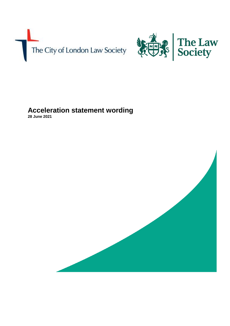



# **Acceleration statement wording**

**28 June 2021**

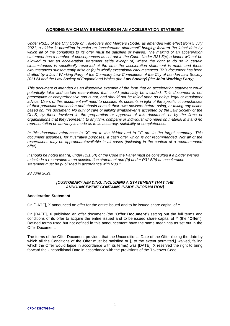### **WORDING WHICH MAY BE INCLUDED IN AN ACCELERATION STATEMENT**

*Under R31.5 of the City Code on Takeovers and Mergers (Code) as amended with effect from 5 July 2021, a bidder is permitted to make an "acceleration statement" bringing forward the latest date by which all of the conditions to its offer must be satisfied or waived. The making of an acceleration statement has a number of consequences as set out in the Code. Under R31.5(e) a bidder will not be allowed to set an acceleration statement aside except (a) where the right to do so in certain circumstances is specifically reserved at the time the acceleration statement is made and those circumstances subsequently arise or (b) in wholly exceptional circumstances. This document has been drafted by a Joint Working Party of the Company Law Committees of the City of London Law Society (CLLS) and the Law Society of England and Wales (the Law Society) (the Joint Working Party).* 

*This document is intended as an illustrative example of the form that an acceleration statement could*  potentially take and certain reservations that could potentially be included. This document is not *prescriptive or comprehensive and is not, and should not be relied upon as being, legal or regulatory advice. Users of this document will need to consider its contents in light of the specific circumstances of their particular transaction and should consult their own advisers before using, or taking any action based on, this document. No duty of care or liability whatsoever is accepted by the Law Society or the CLLS, by those involved in the preparation or approval of this document, or by the firms or organisations that they represent, to any firm, company or individual who relies on material in it and no representation or warranty is made as to its accuracy, suitability or completeness.*

*In this document references to "X" are to the bidder and to "Y" are to the target company. This document assumes, for illustrative purposes, a cash offer which is not recommended. Not all of the reservations may be appropriate/available in all cases (including in the context of a recommended offer).*

*It should be noted that (a) under R31.5(f) of the Code the Panel must be consulted if a bidder wishes to include a reservation to an acceleration statement and (b) under R31.5(h) an acceleration statement must be published in accordance with R30.1.*

*28 June 2021*

#### *[CUSTOMARY HEADING, INCLUDING A STATEMENT THAT THE ANNOUNCEMENT CONTAINS INSIDE INFORMATION]*

#### **Acceleration Statement**

On [DATE], X announced an offer for the entire issued and to be issued share capital of Y.

On [DATE], X published an offer document (the "**Offer Document**") setting out the full terms and conditions of its offer to acquire the entire issued and to be issued share capital of Y (the "**Offer**"). Defined terms used but not defined in this announcement have the same meanings as set out in the Offer Document.

The terms of the Offer Document provided that the Unconditional Date of the Offer (being the date by which all the Conditions of the Offer must be satisfied or [, to the extent permitted,] waived, failing which the Offer would lapse in accordance with its terms) was [DATE]. X reserved the right to bring forward the Unconditional Date in accordance with the provisions of the Takeover Code.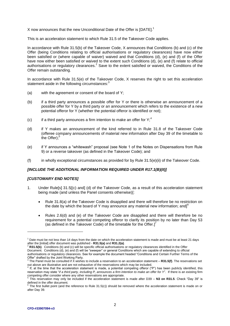X now announces that the new Unconditional Date of the Offer is [DATE].<sup>1</sup>

This is an acceleration statement to which Rule 31.5 of the Takeover Code applies.

In accordance with Rule 31.5(b) of the Takeover Code, X announces that Conditions (b) and (c) of the Offer (being Conditions relating to official authorisations or regulatory clearances) have now either been satisfied or (where capable of waiver) waived and that Conditions (d), (e) and (f) of the Offer have now either been satisfied or waived to the extent such Conditions (d), (e) and (f) relate to official authorisations or regulatory clearances.<sup>2</sup> Save to the extent satisfied or waived, the Conditions of the Offer remain outstanding.

In accordance with Rule 31.5(e) of the Takeover Code, X reserves the right to set this acceleration statement aside in the following circumstances:<sup>3</sup>

- (a) with the agreement or consent of the board of Y;
- (b) if a third party announces a possible offer for Y or there is otherwise an announcement of a possible offer for Y by a third party or an announcement which refers to the existence of a new potential offeror for Y (whether the potential offeror is identified or not);
- (c) if a third party announces a firm intention to make an offer for  $Y$ ;<sup>4</sup>
- (d) if Y makes an announcement of the kind referred to in Rule 31.8 of the Takeover Code (offeree company announcements of material new information after Day 39 of the timetable to the Offer $)$ ;<sup>5</sup>
- (e) if Y announces a "whitewash" proposal (see Note 1 of the Notes on Dispensations from Rule 9) or a reverse takeover (as defined in the Takeover Code); and
- (f) in wholly exceptional circumstances as provided for by Rule  $31.5(e)(ii)$  of the Takeover Code.

## *[INCLUDE THE ADDITIONAL INFORMATION REQUIRED UNDER R17.1(B)(II)]*

#### *[CUSTOMARY END NOTES]*

- 1. Under Rule[s] 31.5[(c) and] (d) of the Takeover Code, as a result of this acceleration statement being made (and unless the Panel consents otherwise)[:
	- Rule 31.8(a) of the Takeover Code is disapplied and there will therefore be no restriction on the date by which the board of Y may announce any material new information; and] $<sup>6</sup>$ </sup>
	- Rules 2.6(d) and (e) of the Takeover Code are disapplied and there will therefore be no requirement for a potential competing offeror to clarify its position by no later than Day 53 (as defined in the Takeover Code) of the timetable for the Offer.] $^7$

-

 $1$  Date must be not less than 14 days from the date on which the acceleration statement is made and must be at least 21 days after the [initial] offer document was published - **R31.5(a)** and **R31.2(a)**.

<sup>2</sup> **R31.5(b)**. Conditions (b) and (c) will be specific official authorisations or regulatory clearances identified in the Offer Document. Conditions (d), (e) and (f) will be "sweeper" or general Conditions which are capable of extending to official authorisations or regulatory clearances. See for example the document headed "Conditions and Certain Further Terms of the Offer" drafted by the Joint Working Party.

<sup>3</sup> The Panel must be consulted if X wishes to include a reservation to an acceleration statement – **R31.5(f)**. The reservations set out above are illustrative and are not exhaustive of the reservations which may be included.

<sup>&</sup>lt;sup>4</sup> If, at the time that the acceleration statement is made, a potential competing offeror ("P") has been publicly identified, this reservation may state "*if a third party, including P, announces a firm intention to make an offer for Y*". If there is an existing firm competing offer consider where any other reservations are appropriate.<br>
<sup>5</sup> This reservation may only be included if the acceleration atatement

This reservation may only be included if the acceleration statement is made after D39 – **N3 on R31.5**. Check "Day 39" is defined in the offer document.

 $6$  The first bullet point (and the reference to Rule 31.5(c)) should be removed where the acceleration statement is made on or after Day 39.